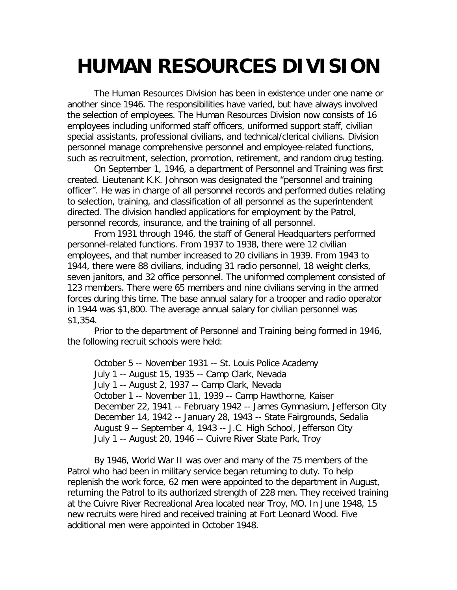## **HUMAN RESOURCES DIVISION**

The Human Resources Division has been in existence under one name or another since 1946. The responsibilities have varied, but have always involved the selection of employees. The Human Resources Division now consists of 16 employees including uniformed staff officers, uniformed support staff, civilian special assistants, professional civilians, and technical/clerical civilians. Division personnel manage comprehensive personnel and employee-related functions, such as recruitment, selection, promotion, retirement, and random drug testing.

On September 1, 1946, a department of Personnel and Training was first created. Lieutenant K.K. Johnson was designated the "personnel and training officer". He was in charge of all personnel records and performed duties relating to selection, training, and classification of all personnel as the superintendent directed. The division handled applications for employment by the Patrol, personnel records, insurance, and the training of all personnel.

From 1931 through 1946, the staff of General Headquarters performed personnel-related functions. From 1937 to 1938, there were 12 civilian employees, and that number increased to 20 civilians in 1939. From 1943 to 1944, there were 88 civilians, including 31 radio personnel, 18 weight clerks, seven janitors, and 32 office personnel. The uniformed complement consisted of 123 members. There were 65 members and nine civilians serving in the armed forces during this time. The base annual salary for a trooper and radio operator in 1944 was \$1,800. The average annual salary for civilian personnel was \$1,354.

Prior to the department of Personnel and Training being formed in 1946, the following recruit schools were held:

October 5 -- November 1931 -- St. Louis Police Academy July 1 -- August 15, 1935 -- Camp Clark, Nevada July 1 -- August 2, 1937 -- Camp Clark, Nevada October 1 -- November 11, 1939 -- Camp Hawthorne, Kaiser December 22, 1941 -- February 1942 -- James Gymnasium, Jefferson City December 14, 1942 -- January 28, 1943 -- State Fairgrounds, Sedalia August 9 -- September 4, 1943 -- J.C. High School, Jefferson City July 1 -- August 20, 1946 -- Cuivre River State Park, Troy

By 1946, World War II was over and many of the 75 members of the Patrol who had been in military service began returning to duty. To help replenish the work force, 62 men were appointed to the department in August, returning the Patrol to its authorized strength of 228 men. They received training at the Cuivre River Recreational Area located near Troy, MO. In June 1948, 15 new recruits were hired and received training at Fort Leonard Wood. Five additional men were appointed in October 1948.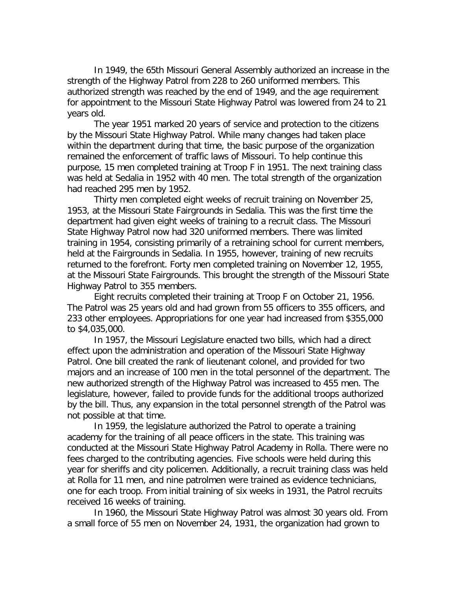In 1949, the 65th Missouri General Assembly authorized an increase in the strength of the Highway Patrol from 228 to 260 uniformed members. This authorized strength was reached by the end of 1949, and the age requirement for appointment to the Missouri State Highway Patrol was lowered from 24 to 21 years old.

The year 1951 marked 20 years of service and protection to the citizens by the Missouri State Highway Patrol. While many changes had taken place within the department during that time, the basic purpose of the organization remained the enforcement of traffic laws of Missouri. To help continue this purpose, 15 men completed training at Troop F in 1951. The next training class was held at Sedalia in 1952 with 40 men. The total strength of the organization had reached 295 men by 1952.

Thirty men completed eight weeks of recruit training on November 25, 1953, at the Missouri State Fairgrounds in Sedalia. This was the first time the department had given eight weeks of training to a recruit class. The Missouri State Highway Patrol now had 320 uniformed members. There was limited training in 1954, consisting primarily of a retraining school for current members, held at the Fairgrounds in Sedalia. In 1955, however, training of new recruits returned to the forefront. Forty men completed training on November 12, 1955, at the Missouri State Fairgrounds. This brought the strength of the Missouri State Highway Patrol to 355 members.

Eight recruits completed their training at Troop F on October 21, 1956. The Patrol was 25 years old and had grown from 55 officers to 355 officers, and 233 other employees. Appropriations for one year had increased from \$355,000 to \$4,035,000.

In 1957, the Missouri Legislature enacted two bills, which had a direct effect upon the administration and operation of the Missouri State Highway Patrol. One bill created the rank of lieutenant colonel, and provided for two majors and an increase of 100 men in the total personnel of the department. The new authorized strength of the Highway Patrol was increased to 455 men. The legislature, however, failed to provide funds for the additional troops authorized by the bill. Thus, any expansion in the total personnel strength of the Patrol was not possible at that time.

In 1959, the legislature authorized the Patrol to operate a training academy for the training of all peace officers in the state. This training was conducted at the Missouri State Highway Patrol Academy in Rolla. There were no fees charged to the contributing agencies. Five schools were held during this year for sheriffs and city policemen. Additionally, a recruit training class was held at Rolla for 11 men, and nine patrolmen were trained as evidence technicians, one for each troop. From initial training of six weeks in 1931, the Patrol recruits received 16 weeks of training.

In 1960, the Missouri State Highway Patrol was almost 30 years old. From a small force of 55 men on November 24, 1931, the organization had grown to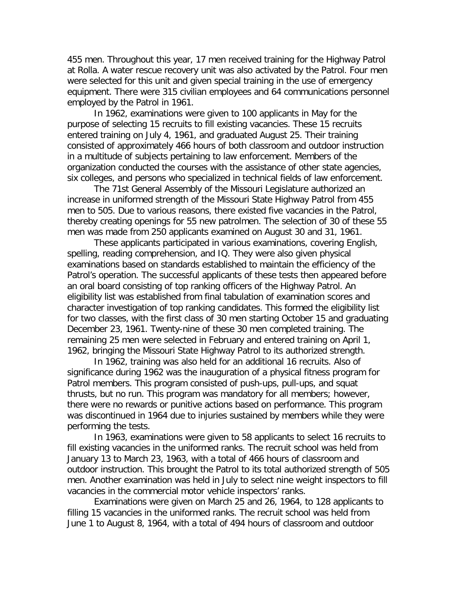455 men. Throughout this year, 17 men received training for the Highway Patrol at Rolla. A water rescue recovery unit was also activated by the Patrol. Four men were selected for this unit and given special training in the use of emergency equipment. There were 315 civilian employees and 64 communications personnel employed by the Patrol in 1961.

In 1962, examinations were given to 100 applicants in May for the purpose of selecting 15 recruits to fill existing vacancies. These 15 recruits entered training on July 4, 1961, and graduated August 25. Their training consisted of approximately 466 hours of both classroom and outdoor instruction in a multitude of subjects pertaining to law enforcement. Members of the organization conducted the courses with the assistance of other state agencies, six colleges, and persons who specialized in technical fields of law enforcement.

The 71st General Assembly of the Missouri Legislature authorized an increase in uniformed strength of the Missouri State Highway Patrol from 455 men to 505. Due to various reasons, there existed five vacancies in the Patrol, thereby creating openings for 55 new patrolmen. The selection of 30 of these 55 men was made from 250 applicants examined on August 30 and 31, 1961.

These applicants participated in various examinations, covering English, spelling, reading comprehension, and IQ. They were also given physical examinations based on standards established to maintain the efficiency of the Patrol's operation. The successful applicants of these tests then appeared before an oral board consisting of top ranking officers of the Highway Patrol. An eligibility list was established from final tabulation of examination scores and character investigation of top ranking candidates. This formed the eligibility list for two classes, with the first class of 30 men starting October 15 and graduating December 23, 1961. Twenty-nine of these 30 men completed training. The remaining 25 men were selected in February and entered training on April 1, 1962, bringing the Missouri State Highway Patrol to its authorized strength.

In 1962, training was also held for an additional 16 recruits. Also of significance during 1962 was the inauguration of a physical fitness program for Patrol members. This program consisted of push-ups, pull-ups, and squat thrusts, but no run. This program was mandatory for all members; however, there were no rewards or punitive actions based on performance. This program was discontinued in 1964 due to injuries sustained by members while they were performing the tests.

In 1963, examinations were given to 58 applicants to select 16 recruits to fill existing vacancies in the uniformed ranks. The recruit school was held from January 13 to March 23, 1963, with a total of 466 hours of classroom and outdoor instruction. This brought the Patrol to its total authorized strength of 505 men. Another examination was held in July to select nine weight inspectors to fill vacancies in the commercial motor vehicle inspectors' ranks.

Examinations were given on March 25 and 26, 1964, to 128 applicants to filling 15 vacancies in the uniformed ranks. The recruit school was held from June 1 to August 8, 1964, with a total of 494 hours of classroom and outdoor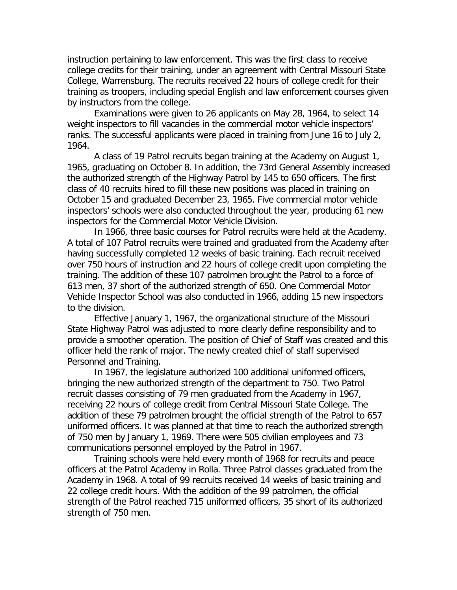instruction pertaining to law enforcement. This was the first class to receive college credits for their training, under an agreement with Central Missouri State College, Warrensburg. The recruits received 22 hours of college credit for their training as troopers, including special English and law enforcement courses given by instructors from the college.

Examinations were given to 26 applicants on May 28, 1964, to select 14 weight inspectors to fill vacancies in the commercial motor vehicle inspectors' ranks. The successful applicants were placed in training from June 16 to July 2, 1964.

A class of 19 Patrol recruits began training at the Academy on August 1, 1965, graduating on October 8. In addition, the 73rd General Assembly increased the authorized strength of the Highway Patrol by 145 to 650 officers. The first class of 40 recruits hired to fill these new positions was placed in training on October 15 and graduated December 23, 1965. Five commercial motor vehicle inspectors' schools were also conducted throughout the year, producing 61 new inspectors for the Commercial Motor Vehicle Division.

In 1966, three basic courses for Patrol recruits were held at the Academy. A total of 107 Patrol recruits were trained and graduated from the Academy after having successfully completed 12 weeks of basic training. Each recruit received over 750 hours of instruction and 22 hours of college credit upon completing the training. The addition of these 107 patrolmen brought the Patrol to a force of 613 men, 37 short of the authorized strength of 650. One Commercial Motor Vehicle Inspector School was also conducted in 1966, adding 15 new inspectors to the division.

Effective January 1, 1967, the organizational structure of the Missouri State Highway Patrol was adjusted to more clearly define responsibility and to provide a smoother operation. The position of Chief of Staff was created and this officer held the rank of major. The newly created chief of staff supervised Personnel and Training.

In 1967, the legislature authorized 100 additional uniformed officers, bringing the new authorized strength of the department to 750. Two Patrol recruit classes consisting of 79 men graduated from the Academy in 1967, receiving 22 hours of college credit from Central Missouri State College. The addition of these 79 patrolmen brought the official strength of the Patrol to 657 uniformed officers. It was planned at that time to reach the authorized strength of 750 men by January 1, 1969. There were 505 civilian employees and 73 communications personnel employed by the Patrol in 1967.

Training schools were held every month of 1968 for recruits and peace officers at the Patrol Academy in Rolla. Three Patrol classes graduated from the Academy in 1968. A total of 99 recruits received 14 weeks of basic training and 22 college credit hours. With the addition of the 99 patrolmen, the official strength of the Patrol reached 715 uniformed officers, 35 short of its authorized strength of 750 men.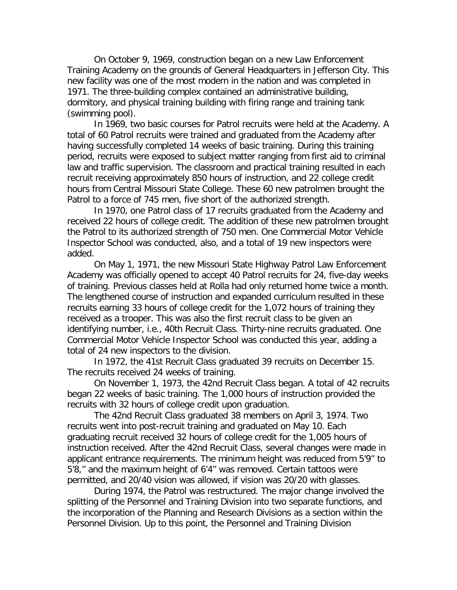On October 9, 1969, construction began on a new Law Enforcement Training Academy on the grounds of General Headquarters in Jefferson City. This new facility was one of the most modern in the nation and was completed in 1971. The three-building complex contained an administrative building, dormitory, and physical training building with firing range and training tank (swimming pool).

In 1969, two basic courses for Patrol recruits were held at the Academy. A total of 60 Patrol recruits were trained and graduated from the Academy after having successfully completed 14 weeks of basic training. During this training period, recruits were exposed to subject matter ranging from first aid to criminal law and traffic supervision. The classroom and practical training resulted in each recruit receiving approximately 850 hours of instruction, and 22 college credit hours from Central Missouri State College. These 60 new patrolmen brought the Patrol to a force of 745 men, five short of the authorized strength.

In 1970, one Patrol class of 17 recruits graduated from the Academy and received 22 hours of college credit. The addition of these new patrolmen brought the Patrol to its authorized strength of 750 men. One Commercial Motor Vehicle Inspector School was conducted, also, and a total of 19 new inspectors were added.

On May 1, 1971, the new Missouri State Highway Patrol Law Enforcement Academy was officially opened to accept 40 Patrol recruits for 24, five-day weeks of training. Previous classes held at Rolla had only returned home twice a month. The lengthened course of instruction and expanded curriculum resulted in these recruits earning 33 hours of college credit for the 1,072 hours of training they received as a trooper. This was also the first recruit class to be given an identifying number, i.e., 40th Recruit Class. Thirty-nine recruits graduated. One Commercial Motor Vehicle Inspector School was conducted this year, adding a total of 24 new inspectors to the division.

In 1972, the 41st Recruit Class graduated 39 recruits on December 15. The recruits received 24 weeks of training.

On November 1, 1973, the 42nd Recruit Class began. A total of 42 recruits began 22 weeks of basic training. The 1,000 hours of instruction provided the recruits with 32 hours of college credit upon graduation.

The 42nd Recruit Class graduated 38 members on April 3, 1974. Two recruits went into post-recruit training and graduated on May 10. Each graduating recruit received 32 hours of college credit for the 1,005 hours of instruction received. After the 42nd Recruit Class, several changes were made in applicant entrance requirements. The minimum height was reduced from 5'9'' to 5'8,'' and the maximum height of 6'4'' was removed. Certain tattoos were permitted, and 20/40 vision was allowed, if vision was 20/20 with glasses.

During 1974, the Patrol was restructured. The major change involved the splitting of the Personnel and Training Division into two separate functions, and the incorporation of the Planning and Research Divisions as a section within the Personnel Division. Up to this point, the Personnel and Training Division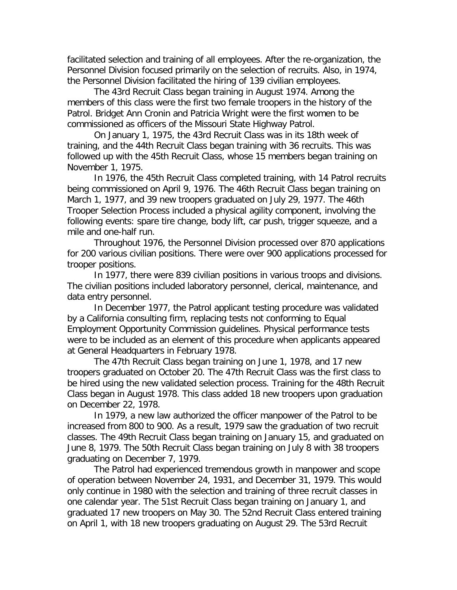facilitated selection and training of all employees. After the re-organization, the Personnel Division focused primarily on the selection of recruits. Also, in 1974, the Personnel Division facilitated the hiring of 139 civilian employees.

The 43rd Recruit Class began training in August 1974. Among the members of this class were the first two female troopers in the history of the Patrol. Bridget Ann Cronin and Patricia Wright were the first women to be commissioned as officers of the Missouri State Highway Patrol.

On January 1, 1975, the 43rd Recruit Class was in its 18th week of training, and the 44th Recruit Class began training with 36 recruits. This was followed up with the 45th Recruit Class, whose 15 members began training on November 1, 1975.

In 1976, the 45th Recruit Class completed training, with 14 Patrol recruits being commissioned on April 9, 1976. The 46th Recruit Class began training on March 1, 1977, and 39 new troopers graduated on July 29, 1977. The 46th Trooper Selection Process included a physical agility component, involving the following events: spare tire change, body lift, car push, trigger squeeze, and a mile and one-half run.

Throughout 1976, the Personnel Division processed over 870 applications for 200 various civilian positions. There were over 900 applications processed for trooper positions.

In 1977, there were 839 civilian positions in various troops and divisions. The civilian positions included laboratory personnel, clerical, maintenance, and data entry personnel.

In December 1977, the Patrol applicant testing procedure was validated by a California consulting firm, replacing tests not conforming to Equal Employment Opportunity Commission guidelines. Physical performance tests were to be included as an element of this procedure when applicants appeared at General Headquarters in February 1978.

The 47th Recruit Class began training on June 1, 1978, and 17 new troopers graduated on October 20. The 47th Recruit Class was the first class to be hired using the new validated selection process. Training for the 48th Recruit Class began in August 1978. This class added 18 new troopers upon graduation on December 22, 1978.

In 1979, a new law authorized the officer manpower of the Patrol to be increased from 800 to 900. As a result, 1979 saw the graduation of two recruit classes. The 49th Recruit Class began training on January 15, and graduated on June 8, 1979. The 50th Recruit Class began training on July 8 with 38 troopers graduating on December 7, 1979.

The Patrol had experienced tremendous growth in manpower and scope of operation between November 24, 1931, and December 31, 1979. This would only continue in 1980 with the selection and training of three recruit classes in one calendar year. The 51st Recruit Class began training on January 1, and graduated 17 new troopers on May 30. The 52nd Recruit Class entered training on April 1, with 18 new troopers graduating on August 29. The 53rd Recruit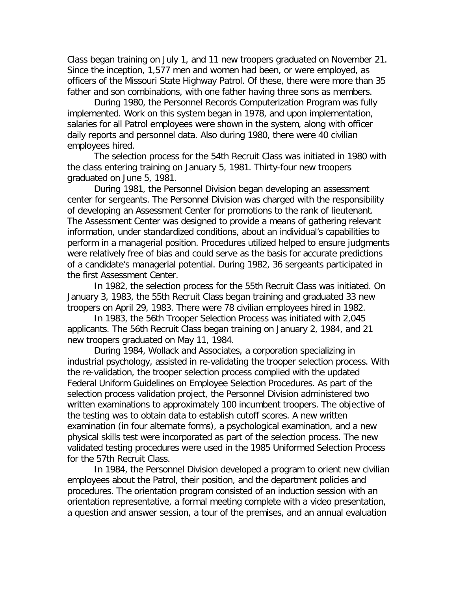Class began training on July 1, and 11 new troopers graduated on November 21. Since the inception, 1,577 men and women had been, or were employed, as officers of the Missouri State Highway Patrol. Of these, there were more than 35 father and son combinations, with one father having three sons as members.

During 1980, the Personnel Records Computerization Program was fully implemented. Work on this system began in 1978, and upon implementation, salaries for all Patrol employees were shown in the system, along with officer daily reports and personnel data. Also during 1980, there were 40 civilian employees hired.

The selection process for the 54th Recruit Class was initiated in 1980 with the class entering training on January 5, 1981. Thirty-four new troopers graduated on June 5, 1981.

During 1981, the Personnel Division began developing an assessment center for sergeants. The Personnel Division was charged with the responsibility of developing an Assessment Center for promotions to the rank of lieutenant. The Assessment Center was designed to provide a means of gathering relevant information, under standardized conditions, about an individual's capabilities to perform in a managerial position. Procedures utilized helped to ensure judgments were relatively free of bias and could serve as the basis for accurate predictions of a candidate's managerial potential. During 1982, 36 sergeants participated in the first Assessment Center.

In 1982, the selection process for the 55th Recruit Class was initiated. On January 3, 1983, the 55th Recruit Class began training and graduated 33 new troopers on April 29, 1983. There were 78 civilian employees hired in 1982.

In 1983, the 56th Trooper Selection Process was initiated with 2,045 applicants. The 56th Recruit Class began training on January 2, 1984, and 21 new troopers graduated on May 11, 1984.

During 1984, Wollack and Associates, a corporation specializing in industrial psychology, assisted in re-validating the trooper selection process. With the re-validation, the trooper selection process complied with the updated Federal Uniform Guidelines on Employee Selection Procedures. As part of the selection process validation project, the Personnel Division administered two written examinations to approximately 100 incumbent troopers. The objective of the testing was to obtain data to establish cutoff scores. A new written examination (in four alternate forms), a psychological examination, and a new physical skills test were incorporated as part of the selection process. The new validated testing procedures were used in the 1985 Uniformed Selection Process for the 57th Recruit Class.

In 1984, the Personnel Division developed a program to orient new civilian employees about the Patrol, their position, and the department policies and procedures. The orientation program consisted of an induction session with an orientation representative, a formal meeting complete with a video presentation, a question and answer session, a tour of the premises, and an annual evaluation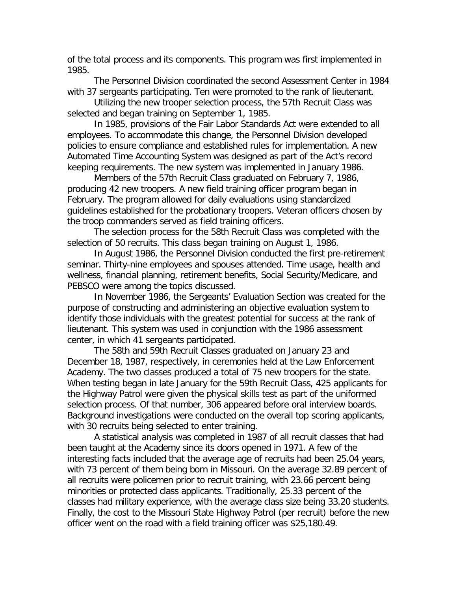of the total process and its components. This program was first implemented in 1985.

The Personnel Division coordinated the second Assessment Center in 1984 with 37 sergeants participating. Ten were promoted to the rank of lieutenant.

Utilizing the new trooper selection process, the 57th Recruit Class was selected and began training on September 1, 1985.

In 1985, provisions of the Fair Labor Standards Act were extended to all employees. To accommodate this change, the Personnel Division developed policies to ensure compliance and established rules for implementation. A new Automated Time Accounting System was designed as part of the Act's record keeping requirements. The new system was implemented in January 1986.

Members of the 57th Recruit Class graduated on February 7, 1986, producing 42 new troopers. A new field training officer program began in February. The program allowed for daily evaluations using standardized guidelines established for the probationary troopers. Veteran officers chosen by the troop commanders served as field training officers.

The selection process for the 58th Recruit Class was completed with the selection of 50 recruits. This class began training on August 1, 1986.

In August 1986, the Personnel Division conducted the first pre-retirement seminar. Thirty-nine employees and spouses attended. Time usage, health and wellness, financial planning, retirement benefits, Social Security/Medicare, and PEBSCO were among the topics discussed.

In November 1986, the Sergeants' Evaluation Section was created for the purpose of constructing and administering an objective evaluation system to identify those individuals with the greatest potential for success at the rank of lieutenant. This system was used in conjunction with the 1986 assessment center, in which 41 sergeants participated.

The 58th and 59th Recruit Classes graduated on January 23 and December 18, 1987, respectively, in ceremonies held at the Law Enforcement Academy. The two classes produced a total of 75 new troopers for the state. When testing began in late January for the 59th Recruit Class, 425 applicants for the Highway Patrol were given the physical skills test as part of the uniformed selection process. Of that number, 306 appeared before oral interview boards. Background investigations were conducted on the overall top scoring applicants, with 30 recruits being selected to enter training.

A statistical analysis was completed in 1987 of all recruit classes that had been taught at the Academy since its doors opened in 1971. A few of the interesting facts included that the average age of recruits had been 25.04 years, with 73 percent of them being born in Missouri. On the average 32.89 percent of all recruits were policemen prior to recruit training, with 23.66 percent being minorities or protected class applicants. Traditionally, 25.33 percent of the classes had military experience, with the average class size being 33.20 students. Finally, the cost to the Missouri State Highway Patrol (per recruit) before the new officer went on the road with a field training officer was \$25,180.49.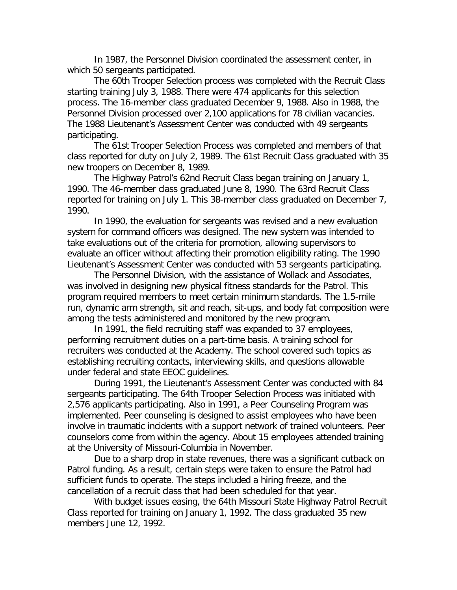In 1987, the Personnel Division coordinated the assessment center, in which 50 sergeants participated.

The 60th Trooper Selection process was completed with the Recruit Class starting training July 3, 1988. There were 474 applicants for this selection process. The 16-member class graduated December 9, 1988. Also in 1988, the Personnel Division processed over 2,100 applications for 78 civilian vacancies. The 1988 Lieutenant's Assessment Center was conducted with 49 sergeants participating.

The 61st Trooper Selection Process was completed and members of that class reported for duty on July 2, 1989. The 61st Recruit Class graduated with 35 new troopers on December 8, 1989.

The Highway Patrol's 62nd Recruit Class began training on January 1, 1990. The 46-member class graduated June 8, 1990. The 63rd Recruit Class reported for training on July 1. This 38-member class graduated on December 7, 1990.

In 1990, the evaluation for sergeants was revised and a new evaluation system for command officers was designed. The new system was intended to take evaluations out of the criteria for promotion, allowing supervisors to evaluate an officer without affecting their promotion eligibility rating. The 1990 Lieutenant's Assessment Center was conducted with 53 sergeants participating.

The Personnel Division, with the assistance of Wollack and Associates, was involved in designing new physical fitness standards for the Patrol. This program required members to meet certain minimum standards. The 1.5-mile run, dynamic arm strength, sit and reach, sit-ups, and body fat composition were among the tests administered and monitored by the new program.

In 1991, the field recruiting staff was expanded to 37 employees, performing recruitment duties on a part-time basis. A training school for recruiters was conducted at the Academy. The school covered such topics as establishing recruiting contacts, interviewing skills, and questions allowable under federal and state EEOC guidelines.

During 1991, the Lieutenant's Assessment Center was conducted with 84 sergeants participating. The 64th Trooper Selection Process was initiated with 2,576 applicants participating. Also in 1991, a Peer Counseling Program was implemented. Peer counseling is designed to assist employees who have been involve in traumatic incidents with a support network of trained volunteers. Peer counselors come from within the agency. About 15 employees attended training at the University of Missouri-Columbia in November.

Due to a sharp drop in state revenues, there was a significant cutback on Patrol funding. As a result, certain steps were taken to ensure the Patrol had sufficient funds to operate. The steps included a hiring freeze, and the cancellation of a recruit class that had been scheduled for that year.

With budget issues easing, the 64th Missouri State Highway Patrol Recruit Class reported for training on January 1, 1992. The class graduated 35 new members June 12, 1992.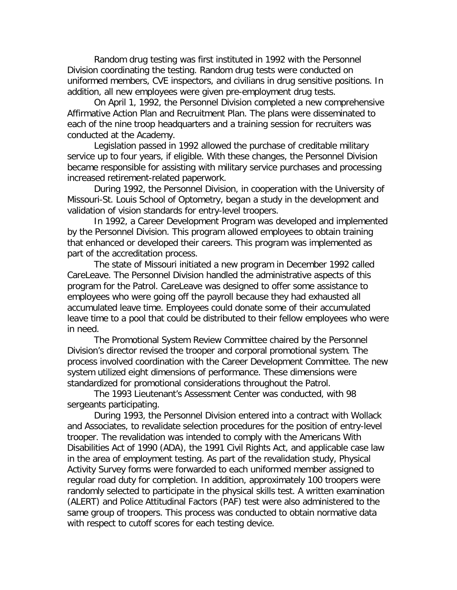Random drug testing was first instituted in 1992 with the Personnel Division coordinating the testing. Random drug tests were conducted on uniformed members, CVE inspectors, and civilians in drug sensitive positions. In addition, all new employees were given pre-employment drug tests.

On April 1, 1992, the Personnel Division completed a new comprehensive Affirmative Action Plan and Recruitment Plan. The plans were disseminated to each of the nine troop headquarters and a training session for recruiters was conducted at the Academy.

Legislation passed in 1992 allowed the purchase of creditable military service up to four years, if eligible. With these changes, the Personnel Division became responsible for assisting with military service purchases and processing increased retirement-related paperwork.

During 1992, the Personnel Division, in cooperation with the University of Missouri-St. Louis School of Optometry, began a study in the development and validation of vision standards for entry-level troopers.

In 1992, a Career Development Program was developed and implemented by the Personnel Division. This program allowed employees to obtain training that enhanced or developed their careers. This program was implemented as part of the accreditation process.

The state of Missouri initiated a new program in December 1992 called CareLeave. The Personnel Division handled the administrative aspects of this program for the Patrol. CareLeave was designed to offer some assistance to employees who were going off the payroll because they had exhausted all accumulated leave time. Employees could donate some of their accumulated leave time to a pool that could be distributed to their fellow employees who were in need.

The Promotional System Review Committee chaired by the Personnel Division's director revised the trooper and corporal promotional system. The process involved coordination with the Career Development Committee. The new system utilized eight dimensions of performance. These dimensions were standardized for promotional considerations throughout the Patrol.

The 1993 Lieutenant's Assessment Center was conducted, with 98 sergeants participating.

During 1993, the Personnel Division entered into a contract with Wollack and Associates, to revalidate selection procedures for the position of entry-level trooper. The revalidation was intended to comply with the Americans With Disabilities Act of 1990 (ADA), the 1991 Civil Rights Act, and applicable case law in the area of employment testing. As part of the revalidation study, Physical Activity Survey forms were forwarded to each uniformed member assigned to regular road duty for completion. In addition, approximately 100 troopers were randomly selected to participate in the physical skills test. A written examination (ALERT) and Police Attitudinal Factors (PAF) test were also administered to the same group of troopers. This process was conducted to obtain normative data with respect to cutoff scores for each testing device.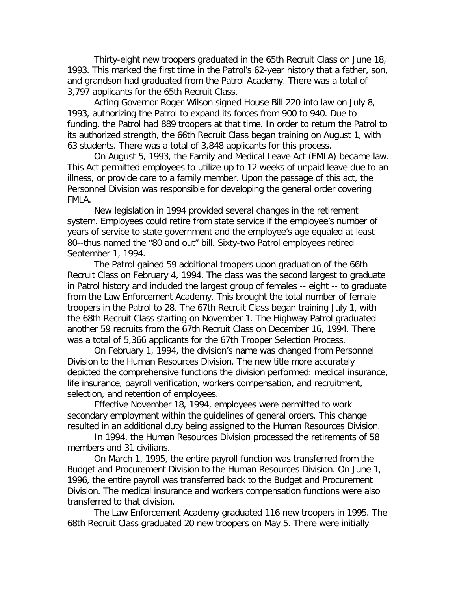Thirty-eight new troopers graduated in the 65th Recruit Class on June 18, 1993. This marked the first time in the Patrol's 62-year history that a father, son, and grandson had graduated from the Patrol Academy. There was a total of 3,797 applicants for the 65th Recruit Class.

Acting Governor Roger Wilson signed House Bill 220 into law on July 8, 1993, authorizing the Patrol to expand its forces from 900 to 940. Due to funding, the Patrol had 889 troopers at that time. In order to return the Patrol to its authorized strength, the 66th Recruit Class began training on August 1, with 63 students. There was a total of 3,848 applicants for this process.

On August 5, 1993, the Family and Medical Leave Act (FMLA) became law. This Act permitted employees to utilize up to 12 weeks of unpaid leave due to an illness, or provide care to a family member. Upon the passage of this act, the Personnel Division was responsible for developing the general order covering FMLA.

New legislation in 1994 provided several changes in the retirement system. Employees could retire from state service if the employee's number of years of service to state government and the employee's age equaled at least 80--thus named the "80 and out" bill. Sixty-two Patrol employees retired September 1, 1994.

The Patrol gained 59 additional troopers upon graduation of the 66th Recruit Class on February 4, 1994. The class was the second largest to graduate in Patrol history and included the largest group of females -- eight -- to graduate from the Law Enforcement Academy. This brought the total number of female troopers in the Patrol to 28. The 67th Recruit Class began training July 1, with the 68th Recruit Class starting on November 1. The Highway Patrol graduated another 59 recruits from the 67th Recruit Class on December 16, 1994. There was a total of 5,366 applicants for the 67th Trooper Selection Process.

On February 1, 1994, the division's name was changed from Personnel Division to the Human Resources Division. The new title more accurately depicted the comprehensive functions the division performed: medical insurance, life insurance, payroll verification, workers compensation, and recruitment, selection, and retention of employees.

Effective November 18, 1994, employees were permitted to work secondary employment within the guidelines of general orders. This change resulted in an additional duty being assigned to the Human Resources Division.

In 1994, the Human Resources Division processed the retirements of 58 members and 31 civilians.

On March 1, 1995, the entire payroll function was transferred from the Budget and Procurement Division to the Human Resources Division. On June 1, 1996, the entire payroll was transferred back to the Budget and Procurement Division. The medical insurance and workers compensation functions were also transferred to that division.

The Law Enforcement Academy graduated 116 new troopers in 1995. The 68th Recruit Class graduated 20 new troopers on May 5. There were initially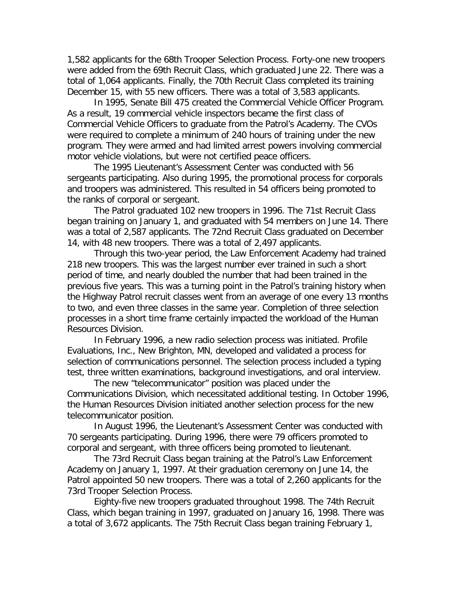1,582 applicants for the 68th Trooper Selection Process. Forty-one new troopers were added from the 69th Recruit Class, which graduated June 22. There was a total of 1,064 applicants. Finally, the 70th Recruit Class completed its training December 15, with 55 new officers. There was a total of 3,583 applicants.

In 1995, Senate Bill 475 created the Commercial Vehicle Officer Program. As a result, 19 commercial vehicle inspectors became the first class of Commercial Vehicle Officers to graduate from the Patrol's Academy. The CVOs were required to complete a minimum of 240 hours of training under the new program. They were armed and had limited arrest powers involving commercial motor vehicle violations, but were not certified peace officers.

The 1995 Lieutenant's Assessment Center was conducted with 56 sergeants participating. Also during 1995, the promotional process for corporals and troopers was administered. This resulted in 54 officers being promoted to the ranks of corporal or sergeant.

The Patrol graduated 102 new troopers in 1996. The 71st Recruit Class began training on January 1, and graduated with 54 members on June 14. There was a total of 2,587 applicants. The 72nd Recruit Class graduated on December 14, with 48 new troopers. There was a total of 2,497 applicants.

Through this two-year period, the Law Enforcement Academy had trained 218 new troopers. This was the largest number ever trained in such a short period of time, and nearly doubled the number that had been trained in the previous five years. This was a turning point in the Patrol's training history when the Highway Patrol recruit classes went from an average of one every 13 months to two, and even three classes in the same year. Completion of three selection processes in a short time frame certainly impacted the workload of the Human Resources Division.

In February 1996, a new radio selection process was initiated. Profile Evaluations, Inc., New Brighton, MN, developed and validated a process for selection of communications personnel. The selection process included a typing test, three written examinations, background investigations, and oral interview.

The new "telecommunicator" position was placed under the Communications Division, which necessitated additional testing. In October 1996, the Human Resources Division initiated another selection process for the new telecommunicator position.

In August 1996, the Lieutenant's Assessment Center was conducted with 70 sergeants participating. During 1996, there were 79 officers promoted to corporal and sergeant, with three officers being promoted to lieutenant.

The 73rd Recruit Class began training at the Patrol's Law Enforcement Academy on January 1, 1997. At their graduation ceremony on June 14, the Patrol appointed 50 new troopers. There was a total of 2,260 applicants for the 73rd Trooper Selection Process.

Eighty-five new troopers graduated throughout 1998. The 74th Recruit Class, which began training in 1997, graduated on January 16, 1998. There was a total of 3,672 applicants. The 75th Recruit Class began training February 1,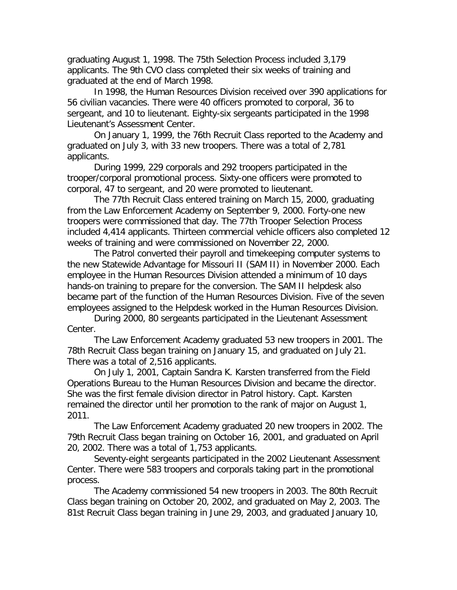graduating August 1, 1998. The 75th Selection Process included 3,179 applicants. The 9th CVO class completed their six weeks of training and graduated at the end of March 1998.

In 1998, the Human Resources Division received over 390 applications for 56 civilian vacancies. There were 40 officers promoted to corporal, 36 to sergeant, and 10 to lieutenant. Eighty-six sergeants participated in the 1998 Lieutenant's Assessment Center.

On January 1, 1999, the 76th Recruit Class reported to the Academy and graduated on July 3, with 33 new troopers. There was a total of 2,781 applicants.

During 1999, 229 corporals and 292 troopers participated in the trooper/corporal promotional process. Sixty-one officers were promoted to corporal, 47 to sergeant, and 20 were promoted to lieutenant.

The 77th Recruit Class entered training on March 15, 2000, graduating from the Law Enforcement Academy on September 9, 2000. Forty-one new troopers were commissioned that day. The 77th Trooper Selection Process included 4,414 applicants. Thirteen commercial vehicle officers also completed 12 weeks of training and were commissioned on November 22, 2000.

The Patrol converted their payroll and timekeeping computer systems to the new Statewide Advantage for Missouri II (SAM II) in November 2000. Each employee in the Human Resources Division attended a minimum of 10 days hands-on training to prepare for the conversion. The SAM II helpdesk also became part of the function of the Human Resources Division. Five of the seven employees assigned to the Helpdesk worked in the Human Resources Division.

During 2000, 80 sergeants participated in the Lieutenant Assessment Center.

The Law Enforcement Academy graduated 53 new troopers in 2001. The 78th Recruit Class began training on January 15, and graduated on July 21. There was a total of 2,516 applicants.

On July 1, 2001, Captain Sandra K. Karsten transferred from the Field Operations Bureau to the Human Resources Division and became the director. She was the first female division director in Patrol history. Capt. Karsten remained the director until her promotion to the rank of major on August 1, 2011.

The Law Enforcement Academy graduated 20 new troopers in 2002. The 79th Recruit Class began training on October 16, 2001, and graduated on April 20, 2002. There was a total of 1,753 applicants.

Seventy-eight sergeants participated in the 2002 Lieutenant Assessment Center. There were 583 troopers and corporals taking part in the promotional process.

The Academy commissioned 54 new troopers in 2003. The 80th Recruit Class began training on October 20, 2002, and graduated on May 2, 2003. The 81st Recruit Class began training in June 29, 2003, and graduated January 10,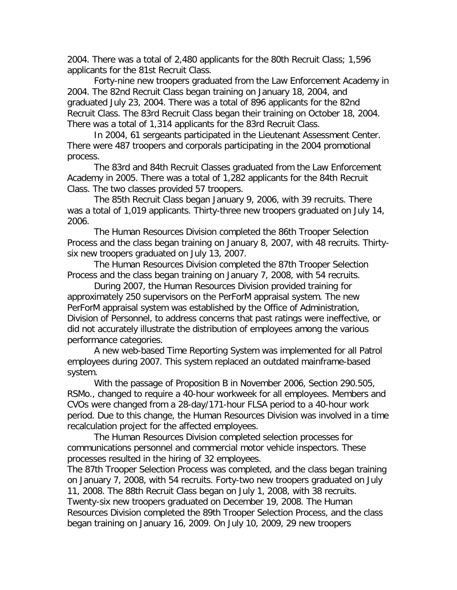2004. There was a total of 2,480 applicants for the 80th Recruit Class; 1,596 applicants for the 81st Recruit Class.

Forty-nine new troopers graduated from the Law Enforcement Academy in 2004. The 82nd Recruit Class began training on January 18, 2004, and graduated July 23, 2004. There was a total of 896 applicants for the 82nd Recruit Class. The 83rd Recruit Class began their training on October 18, 2004. There was a total of 1,314 applicants for the 83rd Recruit Class.

In 2004, 61 sergeants participated in the Lieutenant Assessment Center. There were 487 troopers and corporals participating in the 2004 promotional process.

The 83rd and 84th Recruit Classes graduated from the Law Enforcement Academy in 2005. There was a total of 1,282 applicants for the 84th Recruit Class. The two classes provided 57 troopers.

The 85th Recruit Class began January 9, 2006, with 39 recruits. There was a total of 1,019 applicants. Thirty-three new troopers graduated on July 14, 2006.

The Human Resources Division completed the 86th Trooper Selection Process and the class began training on January 8, 2007, with 48 recruits. Thirtysix new troopers graduated on July 13, 2007.

The Human Resources Division completed the 87th Trooper Selection Process and the class began training on January 7, 2008, with 54 recruits.

During 2007, the Human Resources Division provided training for approximately 250 supervisors on the PerForM appraisal system. The new PerForM appraisal system was established by the Office of Administration, Division of Personnel, to address concerns that past ratings were ineffective, or did not accurately illustrate the distribution of employees among the various performance categories.

A new web-based Time Reporting System was implemented for all Patrol employees during 2007. This system replaced an outdated mainframe-based system.

With the passage of Proposition B in November 2006, Section 290.505, RSMo., changed to require a 40-hour workweek for all employees. Members and CVOs were changed from a 28-day/171-hour FLSA period to a 40-hour work period. Due to this change, the Human Resources Division was involved in a time recalculation project for the affected employees.

The Human Resources Division completed selection processes for communications personnel and commercial motor vehicle inspectors. These processes resulted in the hiring of 32 employees.

The 87th Trooper Selection Process was completed, and the class began training on January 7, 2008, with 54 recruits. Forty-two new troopers graduated on July 11, 2008. The 88th Recruit Class began on July 1, 2008, with 38 recruits. Twenty-six new troopers graduated on December 19, 2008. The Human Resources Division completed the 89th Trooper Selection Process, and the class began training on January 16, 2009. On July 10, 2009, 29 new troopers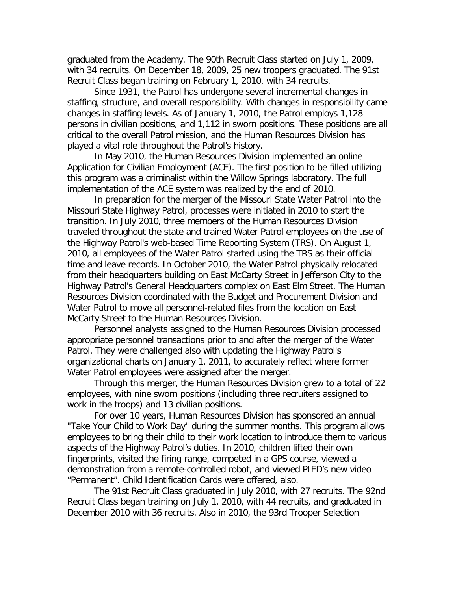graduated from the Academy. The 90th Recruit Class started on July 1, 2009, with 34 recruits. On December 18, 2009, 25 new troopers graduated. The 91st Recruit Class began training on February 1, 2010, with 34 recruits.

Since 1931, the Patrol has undergone several incremental changes in staffing, structure, and overall responsibility. With changes in responsibility came changes in staffing levels. As of January 1, 2010, the Patrol employs 1,128 persons in civilian positions, and 1,112 in sworn positions. These positions are all critical to the overall Patrol mission, and the Human Resources Division has played a vital role throughout the Patrol's history.

In May 2010, the Human Resources Division implemented an online Application for Civilian Employment (ACE). The first position to be filled utilizing this program was a criminalist within the Willow Springs laboratory. The full implementation of the ACE system was realized by the end of 2010.

In preparation for the merger of the Missouri State Water Patrol into the Missouri State Highway Patrol, processes were initiated in 2010 to start the transition. In July 2010, three members of the Human Resources Division traveled throughout the state and trained Water Patrol employees on the use of the Highway Patrol's web-based Time Reporting System (TRS). On August 1, 2010, all employees of the Water Patrol started using the TRS as their official time and leave records. In October 2010, the Water Patrol physically relocated from their headquarters building on East McCarty Street in Jefferson City to the Highway Patrol's General Headquarters complex on East Elm Street. The Human Resources Division coordinated with the Budget and Procurement Division and Water Patrol to move all personnel-related files from the location on East McCarty Street to the Human Resources Division.

Personnel analysts assigned to the Human Resources Division processed appropriate personnel transactions prior to and after the merger of the Water Patrol. They were challenged also with updating the Highway Patrol's organizational charts on January 1, 2011, to accurately reflect where former Water Patrol employees were assigned after the merger.

Through this merger, the Human Resources Division grew to a total of 22 employees, with nine sworn positions (including three recruiters assigned to work in the troops) and 13 civilian positions.

For over 10 years, Human Resources Division has sponsored an annual "Take Your Child to Work Day" during the summer months. This program allows employees to bring their child to their work location to introduce them to various aspects of the Highway Patrol's duties. In 2010, children lifted their own fingerprints, visited the firing range, competed in a GPS course, viewed a demonstration from a remote-controlled robot, and viewed PIED's new video "Permanent". Child Identification Cards were offered, also.

The 91st Recruit Class graduated in July 2010, with 27 recruits. The 92nd Recruit Class began training on July 1, 2010, with 44 recruits, and graduated in December 2010 with 36 recruits. Also in 2010, the 93rd Trooper Selection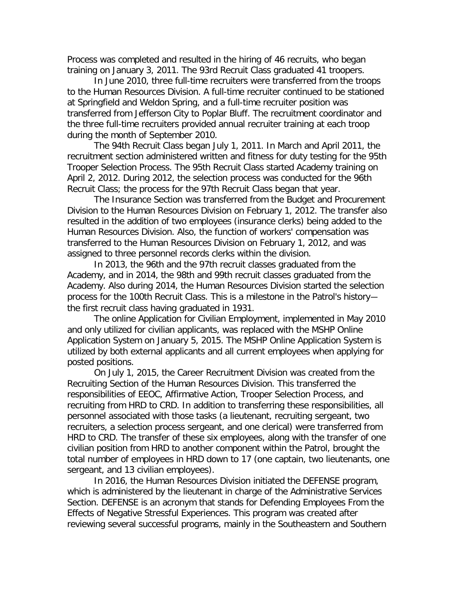Process was completed and resulted in the hiring of 46 recruits, who began training on January 3, 2011. The 93rd Recruit Class graduated 41 troopers.

In June 2010, three full-time recruiters were transferred from the troops to the Human Resources Division. A full-time recruiter continued to be stationed at Springfield and Weldon Spring, and a full-time recruiter position was transferred from Jefferson City to Poplar Bluff. The recruitment coordinator and the three full-time recruiters provided annual recruiter training at each troop during the month of September 2010.

The 94th Recruit Class began July 1, 2011. In March and April 2011, the recruitment section administered written and fitness for duty testing for the 95th Trooper Selection Process. The 95th Recruit Class started Academy training on April 2, 2012. During 2012, the selection process was conducted for the 96th Recruit Class; the process for the 97th Recruit Class began that year.

The Insurance Section was transferred from the Budget and Procurement Division to the Human Resources Division on February 1, 2012. The transfer also resulted in the addition of two employees (insurance clerks) being added to the Human Resources Division. Also, the function of workers' compensation was transferred to the Human Resources Division on February 1, 2012, and was assigned to three personnel records clerks within the division.

In 2013, the 96th and the 97th recruit classes graduated from the Academy, and in 2014, the 98th and 99th recruit classes graduated from the Academy. Also during 2014, the Human Resources Division started the selection process for the 100th Recruit Class. This is a milestone in the Patrol's history the first recruit class having graduated in 1931.

The online Application for Civilian Employment, implemented in May 2010 and only utilized for civilian applicants, was replaced with the MSHP Online Application System on January 5, 2015. The MSHP Online Application System is utilized by both external applicants and all current employees when applying for posted positions.

On July 1, 2015, the Career Recruitment Division was created from the Recruiting Section of the Human Resources Division. This transferred the responsibilities of EEOC, Affirmative Action, Trooper Selection Process, and recruiting from HRD to CRD. In addition to transferring these responsibilities, all personnel associated with those tasks (a lieutenant, recruiting sergeant, two recruiters, a selection process sergeant, and one clerical) were transferred from HRD to CRD. The transfer of these six employees, along with the transfer of one civilian position from HRD to another component within the Patrol, brought the total number of employees in HRD down to 17 (one captain, two lieutenants, one sergeant, and 13 civilian employees).

In 2016, the Human Resources Division initiated the DEFENSE program, which is administered by the lieutenant in charge of the Administrative Services Section. DEFENSE is an acronym that stands for Defending Employees From the Effects of Negative Stressful Experiences. This program was created after reviewing several successful programs, mainly in the Southeastern and Southern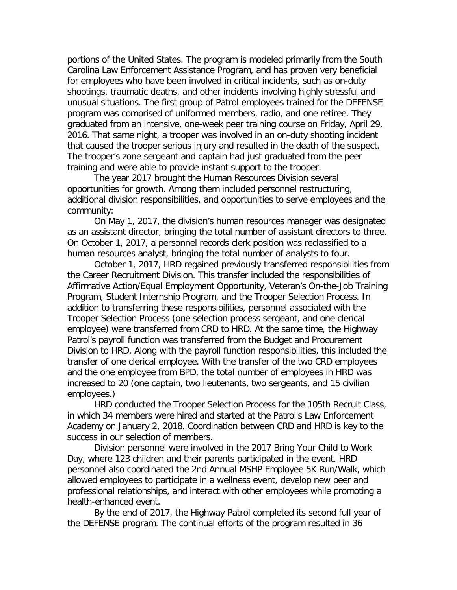portions of the United States. The program is modeled primarily from the South Carolina Law Enforcement Assistance Program, and has proven very beneficial for employees who have been involved in critical incidents, such as on-duty shootings, traumatic deaths, and other incidents involving highly stressful and unusual situations. The first group of Patrol employees trained for the DEFENSE program was comprised of uniformed members, radio, and one retiree. They graduated from an intensive, one-week peer training course on Friday, April 29, 2016. That same night, a trooper was involved in an on-duty shooting incident that caused the trooper serious injury and resulted in the death of the suspect. The trooper's zone sergeant and captain had just graduated from the peer training and were able to provide instant support to the trooper.

The year 2017 brought the Human Resources Division several opportunities for growth. Among them included personnel restructuring, additional division responsibilities, and opportunities to serve employees and the community:

On May 1, 2017, the division's human resources manager was designated as an assistant director, bringing the total number of assistant directors to three. On October 1, 2017, a personnel records clerk position was reclassified to a human resources analyst, bringing the total number of analysts to four.

October 1, 2017, HRD regained previously transferred responsibilities from the Career Recruitment Division. This transfer included the responsibilities of Affirmative Action/Equal Employment Opportunity, Veteran's On-the-Job Training Program, Student Internship Program, and the Trooper Selection Process. In addition to transferring these responsibilities, personnel associated with the Trooper Selection Process (one selection process sergeant, and one clerical employee) were transferred from CRD to HRD. At the same time, the Highway Patrol's payroll function was transferred from the Budget and Procurement Division to HRD. Along with the payroll function responsibilities, this included the transfer of one clerical employee. With the transfer of the two CRD employees and the one employee from BPD, the total number of employees in HRD was increased to 20 (one captain, two lieutenants, two sergeants, and 15 civilian employees.)

HRD conducted the Trooper Selection Process for the 105th Recruit Class, in which 34 members were hired and started at the Patrol's Law Enforcement Academy on January 2, 2018. Coordination between CRD and HRD is key to the success in our selection of members.

Division personnel were involved in the 2017 Bring Your Child to Work Day, where 123 children and their parents participated in the event. HRD personnel also coordinated the 2nd Annual MSHP Employee 5K Run/Walk, which allowed employees to participate in a wellness event, develop new peer and professional relationships, and interact with other employees while promoting a health-enhanced event.

By the end of 2017, the Highway Patrol completed its second full year of the DEFENSE program. The continual efforts of the program resulted in 36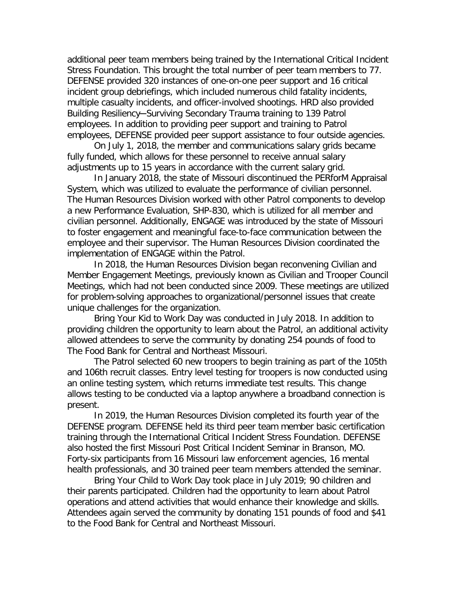additional peer team members being trained by the International Critical Incident Stress Foundation. This brought the total number of peer team members to 77. DEFENSE provided 320 instances of one-on-one peer support and 16 critical incident group debriefings, which included numerous child fatality incidents, multiple casualty incidents, and officer-involved shootings. HRD also provided Building Resiliency─Surviving Secondary Trauma training to 139 Patrol employees. In addition to providing peer support and training to Patrol employees, DEFENSE provided peer support assistance to four outside agencies.

On July 1, 2018, the member and communications salary grids became fully funded, which allows for these personnel to receive annual salary adjustments up to 15 years in accordance with the current salary grid.

In January 2018, the state of Missouri discontinued the PERforM Appraisal System, which was utilized to evaluate the performance of civilian personnel. The Human Resources Division worked with other Patrol components to develop a new Performance Evaluation, SHP-830, which is utilized for all member and civilian personnel. Additionally, ENGAGE was introduced by the state of Missouri to foster engagement and meaningful face-to-face communication between the employee and their supervisor. The Human Resources Division coordinated the implementation of ENGAGE within the Patrol.

In 2018, the Human Resources Division began reconvening Civilian and Member Engagement Meetings, previously known as Civilian and Trooper Council Meetings, which had not been conducted since 2009. These meetings are utilized for problem-solving approaches to organizational/personnel issues that create unique challenges for the organization.

Bring Your Kid to Work Day was conducted in July 2018. In addition to providing children the opportunity to learn about the Patrol, an additional activity allowed attendees to serve the community by donating 254 pounds of food to The Food Bank for Central and Northeast Missouri.

The Patrol selected 60 new troopers to begin training as part of the 105th and 106th recruit classes. Entry level testing for troopers is now conducted using an online testing system, which returns immediate test results. This change allows testing to be conducted via a laptop anywhere a broadband connection is present.

In 2019, the Human Resources Division completed its fourth year of the DEFENSE program. DEFENSE held its third peer team member basic certification training through the International Critical Incident Stress Foundation. DEFENSE also hosted the first Missouri Post Critical Incident Seminar in Branson, MO. Forty-six participants from 16 Missouri law enforcement agencies, 16 mental health professionals, and 30 trained peer team members attended the seminar.

Bring Your Child to Work Day took place in July 2019; 90 children and their parents participated. Children had the opportunity to learn about Patrol operations and attend activities that would enhance their knowledge and skills. Attendees again served the community by donating 151 pounds of food and \$41 to the Food Bank for Central and Northeast Missouri.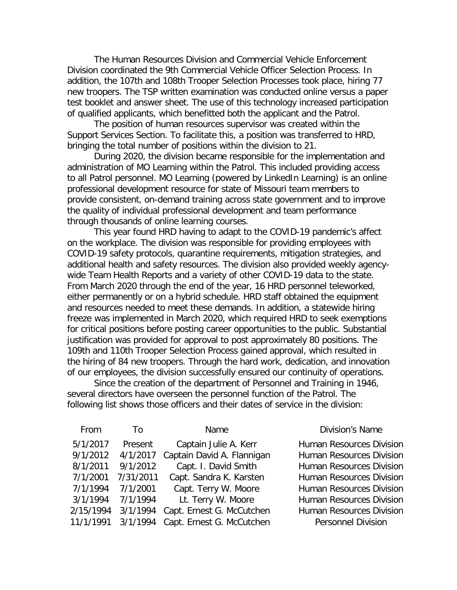The Human Resources Division and Commercial Vehicle Enforcement Division coordinated the 9th Commercial Vehicle Officer Selection Process. In addition, the 107th and 108th Trooper Selection Processes took place, hiring 77 new troopers. The TSP written examination was conducted online versus a paper test booklet and answer sheet. The use of this technology increased participation of qualified applicants, which benefitted both the applicant and the Patrol.

The position of human resources supervisor was created within the Support Services Section. To facilitate this, a position was transferred to HRD, bringing the total number of positions within the division to 21.

During 2020, the division became responsible for the implementation and administration of MO Learning within the Patrol. This included providing access to all Patrol personnel. MO Learning (powered by LinkedIn Learning) is an online professional development resource for state of Missouri team members to provide consistent, on-demand training across state government and to improve the quality of individual professional development and team performance through thousands of online learning courses.

This year found HRD having to adapt to the COVID-19 pandemic's affect on the workplace. The division was responsible for providing employees with COVID-19 safety protocols, quarantine requirements, mitigation strategies, and additional health and safety resources. The division also provided weekly agencywide Team Health Reports and a variety of other COVID-19 data to the state. From March 2020 through the end of the year, 16 HRD personnel teleworked, either permanently or on a hybrid schedule. HRD staff obtained the equipment and resources needed to meet these demands. In addition, a statewide hiring freeze was implemented in March 2020, which required HRD to seek exemptions for critical positions before posting career opportunities to the public. Substantial justification was provided for approval to post approximately 80 positions. The 109th and 110th Trooper Selection Process gained approval, which resulted in the hiring of 84 new troopers. Through the hard work, dedication, and innovation of our employees, the division successfully ensured our continuity of operations.

Since the creation of the department of Personnel and Training in 1946, several directors have overseen the personnel function of the Patrol. The following list shows those officers and their dates of service in the division:

| From      | To        | Name                       | <b>Division's Name</b>          |
|-----------|-----------|----------------------------|---------------------------------|
| 5/1/2017  | Present   | Captain Julie A. Kerr      | <b>Human Resources Division</b> |
| 9/1/2012  | 4/1/2017  | Captain David A. Flannigan | <b>Human Resources Division</b> |
| 8/1/2011  | 9/1/2012  | Capt. I. David Smith       | <b>Human Resources Division</b> |
| 7/1/2001  | 7/31/2011 | Capt. Sandra K. Karsten    | <b>Human Resources Division</b> |
| 7/1/1994  | 7/1/2001  | Capt. Terry W. Moore       | <b>Human Resources Division</b> |
| 3/1/1994  | 7/1/1994  | Lt. Terry W. Moore         | <b>Human Resources Division</b> |
| 2/15/1994 | 3/1/1994  | Capt. Ernest G. McCutchen  | <b>Human Resources Division</b> |
| 11/1/1991 | 3/1/1994  | Capt. Ernest G. McCutchen  | <b>Personnel Division</b>       |
|           |           |                            |                                 |